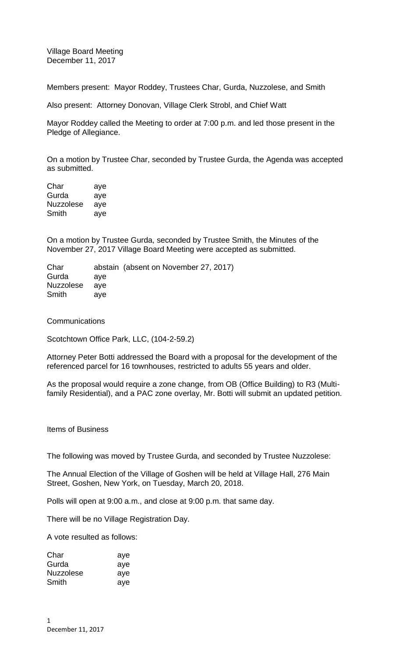Village Board Meeting December 11, 2017

Members present: Mayor Roddey, Trustees Char, Gurda, Nuzzolese, and Smith

Also present: Attorney Donovan, Village Clerk Strobl, and Chief Watt

Mayor Roddey called the Meeting to order at 7:00 p.m. and led those present in the Pledge of Allegiance.

On a motion by Trustee Char, seconded by Trustee Gurda, the Agenda was accepted as submitted.

Char aye Gurda aye Nuzzolese aye Smith aye

On a motion by Trustee Gurda, seconded by Trustee Smith, the Minutes of the November 27, 2017 Village Board Meeting were accepted as submitted.

Char abstain (absent on November 27, 2017) Gurda aye Nuzzolese aye Smith aye

**Communications** 

Scotchtown Office Park, LLC, (104-2-59.2)

Attorney Peter Botti addressed the Board with a proposal for the development of the referenced parcel for 16 townhouses, restricted to adults 55 years and older.

As the proposal would require a zone change, from OB (Office Building) to R3 (Multifamily Residential), and a PAC zone overlay, Mr. Botti will submit an updated petition.

Items of Business

The following was moved by Trustee Gurda, and seconded by Trustee Nuzzolese:

The Annual Election of the Village of Goshen will be held at Village Hall, 276 Main Street, Goshen, New York, on Tuesday, March 20, 2018.

Polls will open at 9:00 a.m., and close at 9:00 p.m. that same day.

There will be no Village Registration Day.

A vote resulted as follows:

| Char      | aye |
|-----------|-----|
| Gurda     | aye |
| Nuzzolese | aye |
| Smith     | aye |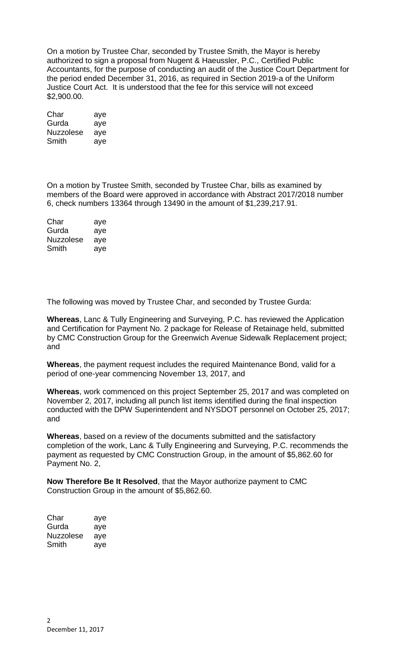On a motion by Trustee Char, seconded by Trustee Smith, the Mayor is hereby authorized to sign a proposal from Nugent & Haeussler, P.C., Certified Public Accountants, for the purpose of conducting an audit of the Justice Court Department for the period ended December 31, 2016, as required in Section 2019-a of the Uniform Justice Court Act. It is understood that the fee for this service will not exceed \$2,900.00.

| Char      | aye |
|-----------|-----|
| Gurda     | aye |
| Nuzzolese | aye |
| Smith     | aye |

On a motion by Trustee Smith, seconded by Trustee Char, bills as examined by members of the Board were approved in accordance with Abstract 2017/2018 number 6, check numbers 13364 through 13490 in the amount of \$1,239,217.91.

| Char      | aye |
|-----------|-----|
| Gurda     | aye |
| Nuzzolese | ave |
| Smith     | aye |

The following was moved by Trustee Char, and seconded by Trustee Gurda:

**Whereas**, Lanc & Tully Engineering and Surveying, P.C. has reviewed the Application and Certification for Payment No. 2 package for Release of Retainage held, submitted by CMC Construction Group for the Greenwich Avenue Sidewalk Replacement project; and

**Whereas**, the payment request includes the required Maintenance Bond, valid for a period of one-year commencing November 13, 2017, and

**Whereas**, work commenced on this project September 25, 2017 and was completed on November 2, 2017, including all punch list items identified during the final inspection conducted with the DPW Superintendent and NYSDOT personnel on October 25, 2017; and

**Whereas**, based on a review of the documents submitted and the satisfactory completion of the work, Lanc & Tully Engineering and Surveying, P.C. recommends the payment as requested by CMC Construction Group, in the amount of \$5,862.60 for Payment No. 2,

**Now Therefore Be It Resolved**, that the Mayor authorize payment to CMC Construction Group in the amount of \$5,862.60.

| Char      | aye |
|-----------|-----|
| Gurda     | aye |
| Nuzzolese | aye |
| Smith     | aye |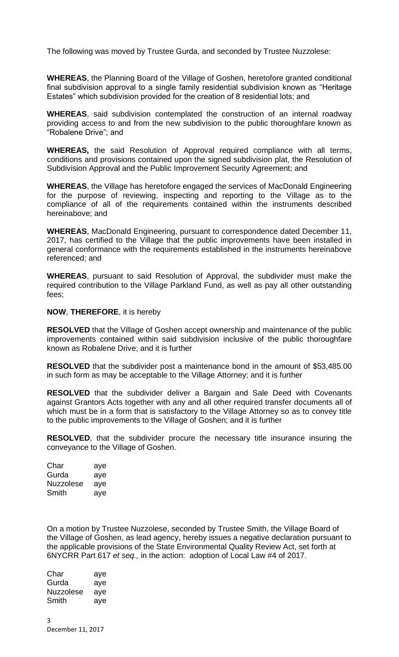The following was moved by Trustee Gurda, and seconded by Trustee Nuzzolese:

**WHEREAS**, the Planning Board of the Village of Goshen, heretofore granted conditional final subdivision approval to a single family residential subdivision known as "Heritage Estates" which subdivision provided for the creation of 8 residential lots; and

**WHEREAS**, said subdivision contemplated the construction of an internal roadway providing access to and from the new subdivision to the public thoroughfare known as "Robalene Drive"; and

**WHEREAS,** the said Resolution of Approval required compliance with all terms, conditions and provisions contained upon the signed subdivision plat, the Resolution of Subdivision Approval and the Public Improvement Security Agreement; and

**WHEREAS**, the Village has heretofore engaged the services of MacDonald Engineering for the purpose of reviewing, inspecting and reporting to the Village as to the compliance of all of the requirements contained within the instruments described hereinabove; and

**WHEREAS**, MacDonald Engineering, pursuant to correspondence dated December 11, 2017, has certified to the Village that the public improvements have been installed in general conformance with the requirements established in the instruments hereinabove referenced; and

**WHEREAS**, pursuant to said Resolution of Approval, the subdivider must make the required contribution to the Village Parkland Fund, as well as pay all other outstanding fees;

**NOW**, **THEREFORE**, it is hereby

**RESOLVED** that the Village of Goshen accept ownership and maintenance of the public improvements contained within said subdivision inclusive of the public thoroughfare known as Robalene Drive; and it is further

**RESOLVED** that the subdivider post a maintenance bond in the amount of \$53,485.00 in such form as may be acceptable to the Village Attorney; and it is further

**RESOLVED** that the subdivider deliver a Bargain and Sale Deed with Covenants against Grantors Acts together with any and all other required transfer documents all of which must be in a form that is satisfactory to the Village Attorney so as to convey title to the public improvements to the Village of Goshen; and it is further

**RESOLVED**, that the subdivider procure the necessary title insurance insuring the conveyance to the Village of Goshen.

| Char      | aye |
|-----------|-----|
| Gurda     | aye |
| Nuzzolese | aye |
| Smith     | ave |

On a motion by Trustee Nuzzolese, seconded by Trustee Smith, the Village Board of the Village of Goshen, as lead agency, hereby issues a negative declaration pursuant to the applicable provisions of the State Environmental Quality Review Act, set forth at 6NYCRR Part 617 *et seq.,* in the action: adoption of Local Law #4 of 2017.

| Char      | aye |
|-----------|-----|
| Gurda     | aye |
| Nuzzolese | aye |
| Smith     | aye |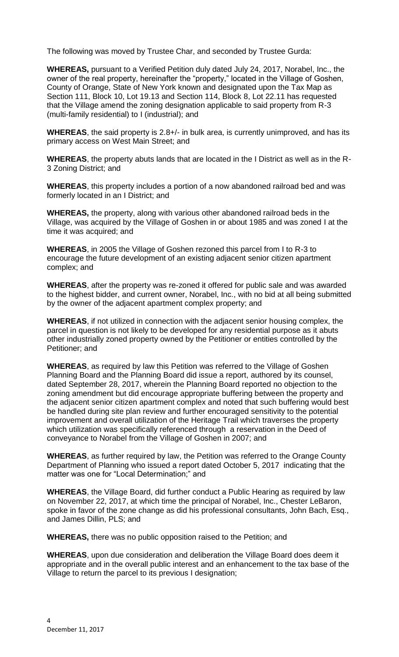The following was moved by Trustee Char, and seconded by Trustee Gurda:

**WHEREAS,** pursuant to a Verified Petition duly dated July 24, 2017, Norabel, Inc., the owner of the real property, hereinafter the "property," located in the Village of Goshen, County of Orange, State of New York known and designated upon the Tax Map as Section 111, Block 10, Lot 19.13 and Section 114, Block 8, Lot 22.11 has requested that the Village amend the zoning designation applicable to said property from R-3 (multi-family residential) to I (industrial); and

**WHEREAS**, the said property is 2.8+/- in bulk area, is currently unimproved, and has its primary access on West Main Street; and

**WHEREAS**, the property abuts lands that are located in the I District as well as in the R-3 Zoning District; and

**WHEREAS**, this property includes a portion of a now abandoned railroad bed and was formerly located in an I District; and

**WHEREAS,** the property, along with various other abandoned railroad beds in the Village, was acquired by the Village of Goshen in or about 1985 and was zoned I at the time it was acquired; and

**WHEREAS**, in 2005 the Village of Goshen rezoned this parcel from I to R-3 to encourage the future development of an existing adjacent senior citizen apartment complex; and

**WHEREAS**, after the property was re-zoned it offered for public sale and was awarded to the highest bidder, and current owner, Norabel, Inc., with no bid at all being submitted by the owner of the adjacent apartment complex property; and

**WHEREAS**, if not utilized in connection with the adjacent senior housing complex, the parcel in question is not likely to be developed for any residential purpose as it abuts other industrially zoned property owned by the Petitioner or entities controlled by the Petitioner; and

**WHEREAS**, as required by law this Petition was referred to the Village of Goshen Planning Board and the Planning Board did issue a report, authored by its counsel, dated September 28, 2017, wherein the Planning Board reported no objection to the zoning amendment but did encourage appropriate buffering between the property and the adjacent senior citizen apartment complex and noted that such buffering would best be handled during site plan review and further encouraged sensitivity to the potential improvement and overall utilization of the Heritage Trail which traverses the property which utilization was specifically referenced through a reservation in the Deed of conveyance to Norabel from the Village of Goshen in 2007; and

**WHEREAS**, as further required by law, the Petition was referred to the Orange County Department of Planning who issued a report dated October 5, 2017 indicating that the matter was one for "Local Determination;" and

**WHEREAS**, the Village Board, did further conduct a Public Hearing as required by law on November 22, 2017, at which time the principal of Norabel, Inc., Chester LeBaron, spoke in favor of the zone change as did his professional consultants, John Bach, Esq., and James Dillin, PLS; and

**WHEREAS,** there was no public opposition raised to the Petition; and

**WHEREAS**, upon due consideration and deliberation the Village Board does deem it appropriate and in the overall public interest and an enhancement to the tax base of the Village to return the parcel to its previous I designation;